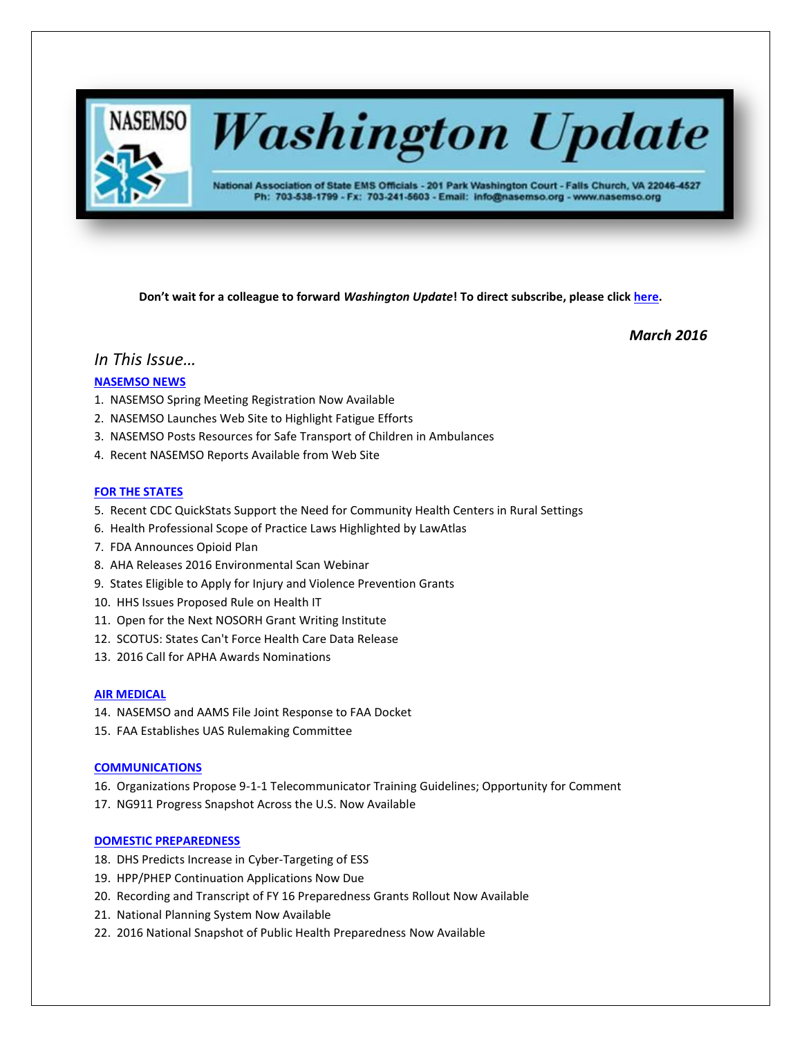

# **Washington Update**

National Association of State EMS Officials - 201 Park Washington Court - Falls Church, VA 22046-4527 Ph: 703-538-1799 - Fx: 703-241-5603 - Email: info@nasemso.org - www.nasemso.org

**Don't wait for a colleague to forward** *Washington Update***! To direct subscribe, please click [here.](http://lists.nasemso.org/read/all_forums/subscribe?name=wu%20)**

*March 2016*

# *In This Issue…*

# **[NASEMSO NEWS](#page-1-0)**

- 1. NASEMSO Spring Meeting Registration Now Available
- 2. NASEMSO Launches Web Site to Highlight Fatigue Efforts
- 3. NASEMSO Posts Resources for Safe Transport of Children in Ambulances
- 4. Recent NASEMSO Reports Available from Web Site

# **[FOR THE STATES](#page-2-0)**

- 5. Recent CDC QuickStats Support the Need for Community Health Centers in Rural Settings
- 6. Health Professional Scope of Practice Laws Highlighted by LawAtlas
- 7. FDA Announces Opioid Plan
- 8. AHA Releases 2016 Environmental Scan Webinar
- 9. States Eligible to Apply for Injury and Violence Prevention Grants
- 10. HHS Issues Proposed Rule on Health IT
- 11. Open for the Next NOSORH Grant Writing Institute
- 12. SCOTUS: States Can't Force Health Care Data Release
- 13. 2016 Call for APHA Awards Nominations

#### **[AIR MEDICAL](#page-4-0)**

- 14. NASEMSO and AAMS File Joint Response to FAA Docket
- 15. FAA Establishes UAS Rulemaking Committee

#### **[COMMUNICATIONS](#page-4-1)**

- 16. Organizations Propose 9-1-1 Telecommunicator Training Guidelines; Opportunity for Comment
- 17. NG911 Progress Snapshot Across the U.S. Now Available

## **[DOMESTIC PREPAREDNESS](#page-5-0)**

- 18. DHS Predicts Increase in Cyber-Targeting of ESS
- 19. HPP/PHEP Continuation Applications Now Due
- 20. Recording and Transcript of FY 16 Preparedness Grants Rollout Now Available
- 21. National Planning System Now Available
- 22. 2016 National Snapshot of Public Health Preparedness Now Available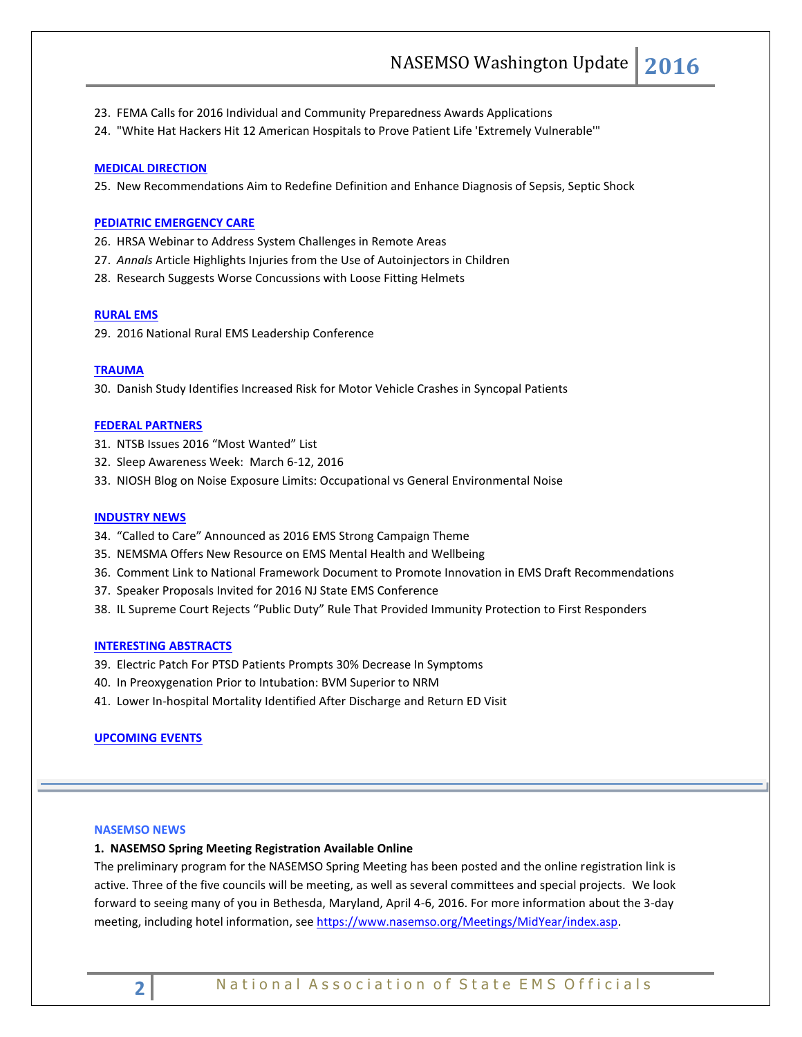- 23. FEMA Calls for 2016 Individual and Community Preparedness Awards Applications
- 24. "White Hat Hackers Hit 12 American Hospitals to Prove Patient Life 'Extremely Vulnerable'"

#### **[MEDICAL DIRECTION](#page-7-0)**

25. New Recommendations Aim to Redefine Definition and Enhance Diagnosis of Sepsis, Septic Shock

#### **[PEDIATRIC EMERGENCY CARE](#page-7-1)**

- 26. HRSA Webinar to Address System Challenges in Remote Areas
- 27. *Annals* Article Highlights Injuries from the Use of Autoinjectors in Children
- 28. Research Suggests Worse Concussions with Loose Fitting Helmets

#### **[RURAL EMS](#page-8-0)**

29. 2016 National Rural EMS Leadership Conference

#### **[TRAUMA](#page-8-1)**

30. Danish Study Identifies Increased Risk for Motor Vehicle Crashes in Syncopal Patients

#### **[FEDERAL PARTNERS](#page-8-2)**

- 31. NTSB Issues 2016 "Most Wanted" List
- 32. Sleep Awareness Week: March 6-12, 2016
- 33. NIOSH Blog on Noise Exposure Limits: Occupational vs General Environmental Noise

#### **[INDUSTRY NEWS](#page-9-0)**

- 34. "Called to Care" Announced as 2016 EMS Strong Campaign Theme
- 35. NEMSMA Offers New Resource on EMS Mental Health and Wellbeing
- 36. Comment Link to National Framework Document to Promote Innovation in EMS Draft Recommendations
- 37. Speaker Proposals Invited for 2016 NJ State EMS Conference
- 38. IL Supreme Court Rejects "Public Duty" Rule That Provided Immunity Protection to First Responders

#### **[INTERESTING ABSTRACTS](#page-11-0)**

- 39. Electric Patch For PTSD Patients Prompts 30% Decrease In Symptoms
- 40. In Preoxygenation Prior to Intubation: BVM Superior to NRM
- 41. Lower In-hospital Mortality Identified After Discharge and Return ED Visit

#### **UPCOMING EVENTS**

#### <span id="page-1-0"></span>**NASEMSO NEWS**

#### **1. NASEMSO Spring Meeting Registration Available Online**

The preliminary program for the NASEMSO Spring Meeting has been posted and the online registration link is active. Three of the five councils will be meeting, as well as several committees and special projects. We look forward to seeing many of you in Bethesda, Maryland, April 4-6, 2016. For more information about the 3-day meeting, including hotel information, see [https://www.nasemso.org/Meetings/MidYear/index.asp.](https://www.nasemso.org/Meetings/MidYear/index.asp)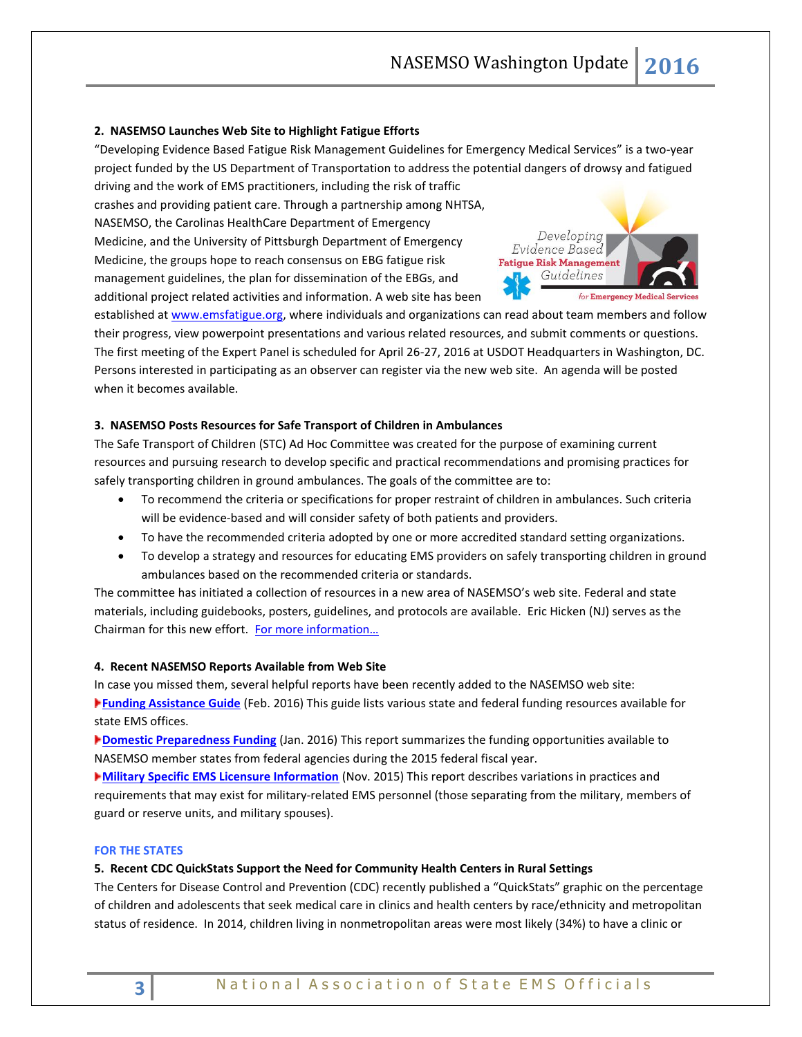## **2. NASEMSO Launches Web Site to Highlight Fatigue Efforts**

"Developing Evidence Based Fatigue Risk Management Guidelines for Emergency Medical Services" is a two-year project funded by the US Department of Transportation to address the potential dangers of drowsy and fatigued driving and the work of EMS practitioners, including the risk of traffic

crashes and providing patient care. Through a partnership among NHTSA, NASEMSO, the Carolinas HealthCare Department of Emergency Medicine, and the University of Pittsburgh Department of Emergency Medicine, the groups hope to reach consensus on EBG fatigue risk management guidelines, the plan for dissemination of the EBGs, and additional project related activities and information. A web site has been



established at [www.emsfatigue.org,](http://www.emsfatigue.org/) where individuals and organizations can read about team members and follow their progress, view powerpoint presentations and various related resources, and submit comments or questions. The first meeting of the Expert Panel is scheduled for April 26-27, 2016 at USDOT Headquarters in Washington, DC. Persons interested in participating as an observer can register via the new web site. An agenda will be posted when it becomes available.

# **3. NASEMSO Posts Resources for Safe Transport of Children in Ambulances**

The Safe Transport of Children (STC) Ad Hoc Committee was created for the purpose of examining current resources and pursuing research to develop specific and practical recommendations and promising practices for safely transporting children in ground ambulances. The goals of the committee are to:

- To recommend the criteria or specifications for proper restraint of children in ambulances. Such criteria will be evidence-based and will consider safety of both patients and providers.
- To have the recommended criteria adopted by one or more accredited standard setting organizations.
- To develop a strategy and resources for educating EMS providers on safely transporting children in ground ambulances based on the recommended criteria or standards.

The committee has initiated a collection of resources in a new area of NASEMSO's web site. Federal and state materials, including guidebooks, posters, guidelines, and protocols are available. Eric Hicken (NJ) serves as the Chairman for this new effort. For more i[nformation…](https://www.nasemso.org/Committees/STC/Resources.asp)

#### **4. Recent NASEMSO Reports Available from Web Site**

In case you missed them, several helpful reports have been recently added to the NASEMSO web site: **[Funding Assistance Guide](https://www.nasemso.org/NewsAndPublications/News/documents/NASEMSO_FundingGuide_FINAL_2016-0218.pdf)** (Feb. 2016) This guide lists various state and federal funding resources available for state EMS offices.

**[Domestic Preparedness Funding](https://www.nasemso.org/NewsAndPublications/News/documents/NASEMSO_DP_FundingResults_FINAL_2016-0127.pdf)** (Jan. 2016) This report summarizes the funding opportunities available to NASEMSO member states from federal agencies during the 2015 federal fiscal year.

**[Military Specific EMS Licensure Information](https://www.nasemso.org/documents/Military-Specific-EMS-Licensure-Information_2015-1113.pdf)** (Nov. 2015) This report describes variations in practices and requirements that may exist for military-related EMS personnel (those separating from the military, members of guard or reserve units, and military spouses).

#### <span id="page-2-0"></span>**FOR THE STATES**

#### **5. Recent CDC QuickStats Support the Need for Community Health Centers in Rural Settings**

The Centers for Disease Control and Prevention (CDC) recently published a "QuickStats" graphic on the percentage of children and adolescents that seek medical care in clinics and health centers by race/ethnicity and metropolitan status of residence. In 2014, children living in nonmetropolitan areas were most likely (34%) to have a clinic or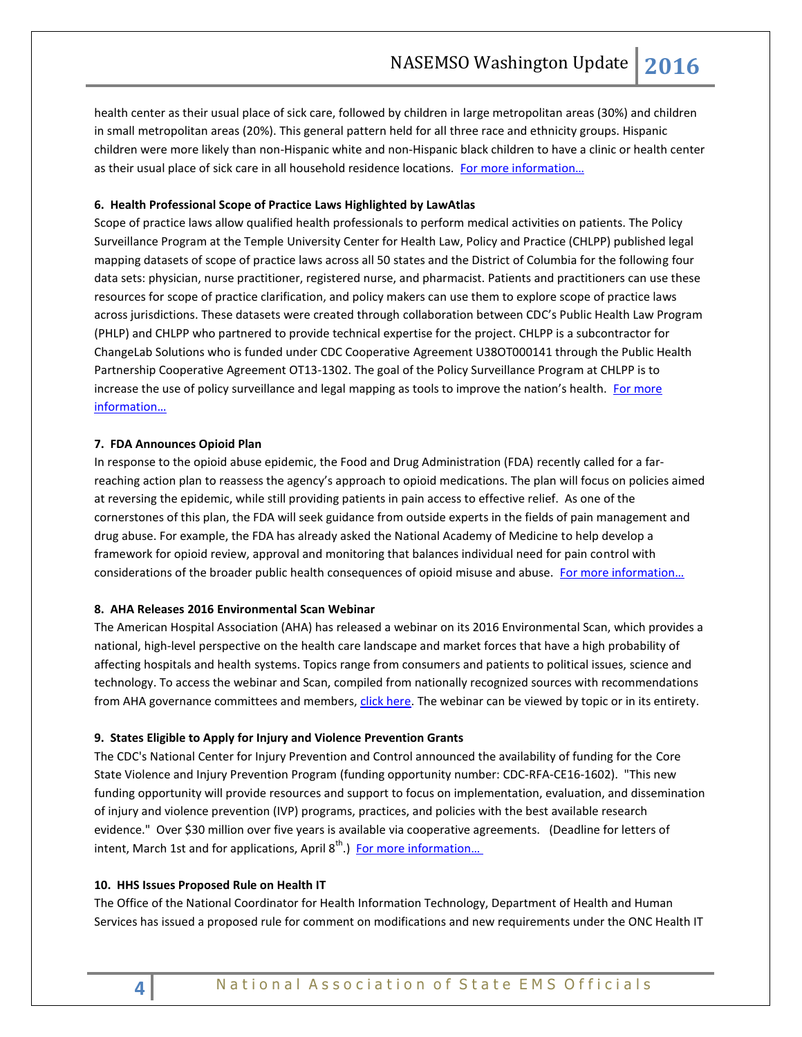health center as their usual place of sick care, followed by children in large metropolitan areas (30%) and children in small metropolitan areas (20%). This general pattern held for all three race and ethnicity groups. Hispanic children were more likely than non-Hispanic white and non-Hispanic black children to have a clinic or health center as their usual place of sick care in all household residence locations. For more information...

#### **6. Health Professional Scope of Practice Laws Highlighted by LawAtlas**

Scope of practice laws allow qualified health professionals to perform medical activities on patients. The Policy Surveillance Program at the Temple University Center for Health Law, Policy and Practice (CHLPP) published legal mapping datasets of scope of practice laws across all 50 states and the District of Columbia for the following four data sets: physician, nurse practitioner, registered nurse, and pharmacist. Patients and practitioners can use these resources for scope of practice clarification, and policy makers can use them to explore scope of practice laws across jurisdictions. These datasets were created through collaboration between CDC's Public Health Law Program (PHLP) and CHLPP who partnered to provide technical expertise for the project. CHLPP is a subcontractor for ChangeLab Solutions who is funded under CDC Cooperative Agreement U38OT000141 through the Public Health Partnership Cooperative Agreement OT13-1302. The goal of the Policy Surveillance Program at CHLPP is to increase the use of policy surveillance and legal mapping as tools to improve the nation's health. For more [information…](http://lawatlas.org/page_newt.php?id=569d319bd42e07db187c5221)

# **7. FDA Announces Opioid Plan**

In response to the opioid abuse epidemic, the Food and Drug Administration (FDA) recently called for a farreaching action plan to reassess the agency's approach to opioid medications. The plan will focus on policies aimed at reversing the epidemic, while still providing patients in pain access to effective relief. As one of the cornerstones of this plan, the FDA will seek guidance from outside experts in the fields of pain management and drug abuse. For example, the FDA has already asked the National Academy of Medicine to help develop a framework for opioid review, approval and monitoring that balances individual need for pain control with considerations of the broader public health consequences of opioid misuse and abuse. For more information...

#### **8. AHA Releases 2016 Environmental Scan Webinar**

The American Hospital Association (AHA) has released a webinar on its 2016 Environmental Scan, which provides a national, high-level perspective on the health care landscape and market forces that have a high probability of affecting hospitals and health systems. Topics range from consumers and patients to political issues, science and technology. To access the webinar and Scan, compiled from nationally recognized sources with recommendations from AHA governance committees and members, [click here.](http://www.healthforum.com/aboutus/2016-AHA-Environmental-Scan-Health-Care-Trends.dhtml) The webinar can be viewed by topic or in its entirety.

#### **9. States Eligible to Apply for Injury and Violence Prevention Grants**

The CDC's National Center for Injury Prevention and Control announced the availability of funding for the Core State Violence and Injury Prevention Program (funding opportunity number: CDC-RFA-CE16-1602). "This new funding opportunity will provide resources and support to focus on implementation, evaluation, and dissemination of injury and violence prevention (IVP) programs, practices, and policies with the best available research evidence." Over \$30 million over five years is available via cooperative agreements. (Deadline for letters of intent, March 1st and for applications, April 8<sup>th</sup>.) **For more information...** 

# **10. HHS Issues Proposed Rule on Health IT**

The Office of the National Coordinator for Health Information Technology, Department of Health and Human Services has issued a proposed rule for comment on modifications and new requirements under the ONC Health IT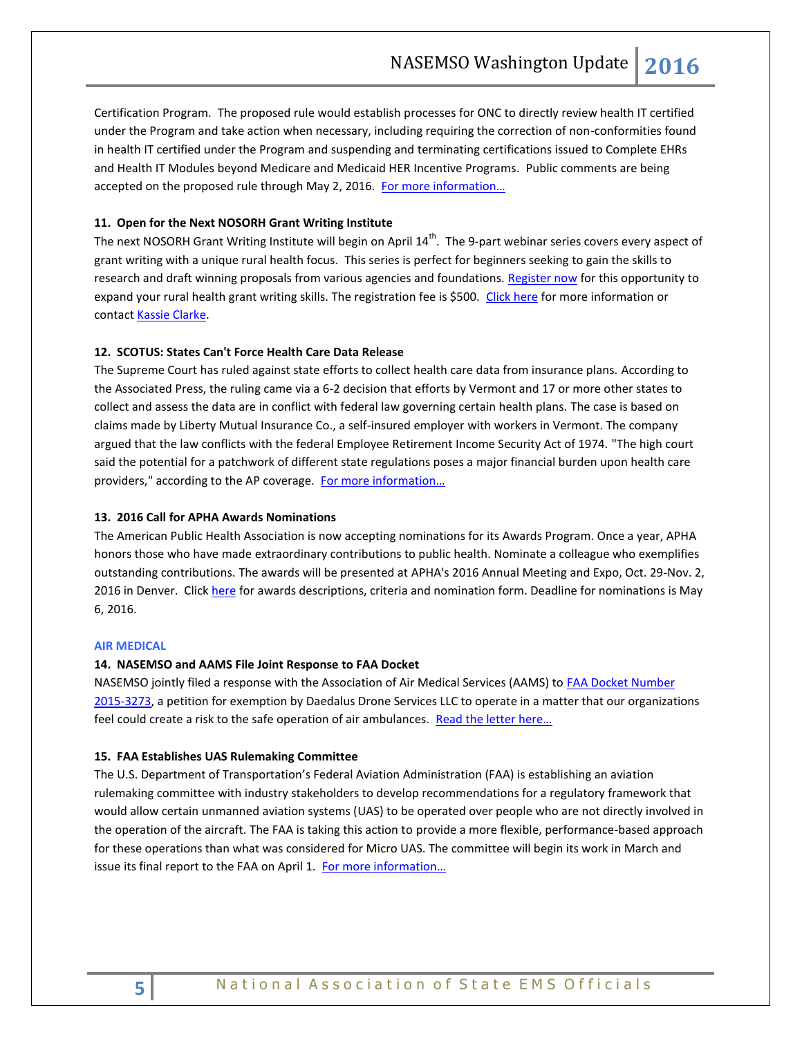Certification Program. The proposed rule would establish processes for ONC to directly review health IT certified under the Program and take action when necessary, including requiring the correction of non-conformities found in health IT certified under the Program and suspending and terminating certifications issued to Complete EHRs and Health IT Modules beyond Medicare and Medicaid HER Incentive Programs. Public comments are being accepted on the proposed rule through May 2, 2016. For more information...

# <span id="page-4-0"></span>**11. Open for the Next NOSORH Grant Writing Institute**

The next NOSORH Grant Writing Institute will begin on April  $14^{th}$ . The 9-part webinar series covers every aspect of grant writing with a unique rural health focus. This series is perfect for beginners seeking to gain the skills to research and draft winning proposals from various agencies and foundations. [Register now](https://www.regonline.com/builder/site/?eventid=1818414) for this opportunity to expand your rural health grant writing skills. The registration fee is \$500. [Click here](https://nosorh.org/grant-writing-institute/) for more information or contac[t Kassie Clarke.](mailto:kassiec@nosorh.org)

#### **12. SCOTUS: States Can't Force Health Care Data Release**

The Supreme Court has ruled against state efforts to collect health care data from insurance plans. According to the Associated Press, the ruling came via a 6-2 decision that efforts by Vermont and 17 or more other states to collect and assess the data are in conflict with federal law governing certain health plans. The case is based on claims made by Liberty Mutual Insurance Co., a self-insured employer with workers in Vermont. The company argued that the law conflicts with the federal Employee Retirement Income Security Act of 1974. "The high court said the potential for a patchwork of different state regulations poses a major financial burden upon health care providers," according to the AP coverage. For more information...

#### **13. 2016 Call for APHA Awards Nominations**

The American Public Health Association is now accepting nominations for its Awards Program. Once a year, APHA honors those who have made extraordinary contributions to public health. Nominate a colleague who exemplifies outstanding contributions. The awards will be presented at APHA's 2016 Annual Meeting and Expo, Oct. 29-Nov. 2, 2016 in Denver. Clic[k here](http://www.apha.org/about-apha/apha-awards) for awards descriptions, criteria and nomination form. Deadline for nominations is May 6, 2016.

#### **AIR MEDICAL**

#### **14. NASEMSO and AAMS File Joint Response to FAA Docket**

NASEMSO jointly filed a response with the Association of Air Medical Services (AAMS) to **FAA Docket Number** [2015-3273,](http://www.nasemso.org/Advocacy/Supported/documents/FAA-docket-2015-33259.pdf) a petition for exemption by Daedalus Drone Services LLC to operate in a matter that our organizations feel could create a risk to the safe operation of air ambulances. Read the letter here...

#### **15. FAA Establishes UAS Rulemaking Committee**

<span id="page-4-1"></span>The U.S. Department of Transportation's Federal Aviation Administration (FAA) is establishing an aviation rulemaking committee with industry stakeholders to develop recommendations for a regulatory framework that would allow certain unmanned aviation systems (UAS) to be operated over people who are not directly involved in the operation of the aircraft. The FAA is taking this action to provide a more flexible, performance-based approach for these operations than what was considered for Micro UAS. The committee will begin its work in March and issue its final report to the FAA on April 1. [For more information…](http://www.faa.gov/regulations_policies/rulemaking/committees/documents/media/Micro.UAS.ARC.Cht.2.24.16.pdf)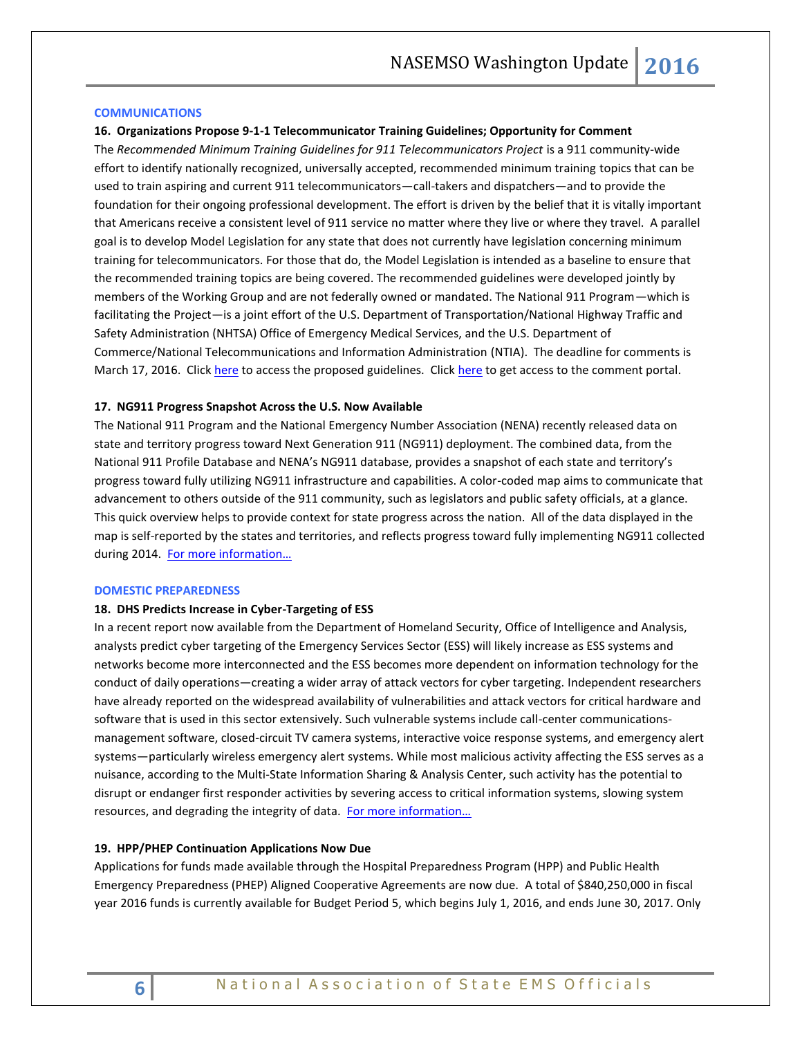#### **COMMUNICATIONS**

#### **16. Organizations Propose 9-1-1 Telecommunicator Training Guidelines; Opportunity for Comment**

The *Recommended Minimum Training Guidelines for 911 Telecommunicators Project* is a 911 community-wide effort to identify nationally recognized, universally accepted, recommended minimum training topics that can be used to train aspiring and current 911 telecommunicators—call-takers and dispatchers—and to provide the foundation for their ongoing professional development. The effort is driven by the belief that it is vitally important that Americans receive a consistent level of 911 service no matter where they live or where they travel. A parallel goal is to develop Model Legislation for any state that does not currently have legislation concerning minimum training for telecommunicators. For those that do, the Model Legislation is intended as a baseline to ensure that the recommended training topics are being covered. The recommended guidelines were developed jointly by members of the Working Group and are not federally owned or mandated. The National 911 Program—which is facilitating the Project—is a joint effort of the U.S. Department of Transportation/National Highway Traffic and Safety Administration (NHTSA) Office of Emergency Medical Services, and the U.S. Department of Commerce/National Telecommunications and Information Administration (NTIA). The deadline for comments is March 17, 2016. Clic[k here](http://content.govdelivery.com/attachments/USDOTNHTSA911/2016/01/28/file_attachments/488996/Minimum%2BTraining%2BWorking%2BDocument.pdf) to access the proposed guidelines. Click [here](http://content.govdelivery.com/attachments/USDOTNHTSA911/2016/01/28/file_attachments/489027/Training%2BGuidelines%2BInformation%2BSheet.pdf) to get access to the comment portal.

#### **17. NG911 Progress Snapshot Across the U.S. Now Available**

The National 911 Program and the National Emergency Number Association (NENA) recently released data on state and territory progress toward Next Generation 911 (NG911) deployment. The combined data, from the National 911 Profile Database and NENA's NG911 database, provides a snapshot of each state and territory's progress toward fully utilizing NG911 infrastructure and capabilities. A color-coded map aims to communicate that advancement to others outside of the 911 community, such as legislators and public safety officials, at a glance. This quick overview helps to provide context for state progress across the nation. All of the data displayed in the map is self-reported by the states and territories, and reflects progress toward fully implementing NG911 collected during 2014. For more information...

#### <span id="page-5-0"></span>**DOMESTIC PREPAREDNESS**

#### **18. DHS Predicts Increase in Cyber-Targeting of ESS**

In a recent report now available from the Department of Homeland Security, Office of Intelligence and Analysis, analysts predict cyber targeting of the Emergency Services Sector (ESS) will likely increase as ESS systems and networks become more interconnected and the ESS becomes more dependent on information technology for the conduct of daily operations—creating a wider array of attack vectors for cyber targeting. Independent researchers have already reported on the widespread availability of vulnerabilities and attack vectors for critical hardware and software that is used in this sector extensively. Such vulnerable systems include call-center communicationsmanagement software, closed-circuit TV camera systems, interactive voice response systems, and emergency alert systems—particularly wireless emergency alert systems. While most malicious activity affecting the ESS serves as a nuisance, according to the Multi-State Information Sharing & Analysis Center, such activity has the potential to disrupt or endanger first responder activities by severing access to critical information systems, slowing system resources, and degrading the integrity of data. For more information...

#### **19. HPP/PHEP Continuation Applications Now Due**

Applications for funds made available through the Hospital Preparedness Program (HPP) and Public Health Emergency Preparedness (PHEP) Aligned Cooperative Agreements are now due. A total of \$840,250,000 in fiscal year 2016 funds is currently available for Budget Period 5, which begins July 1, 2016, and ends June 30, 2017. Only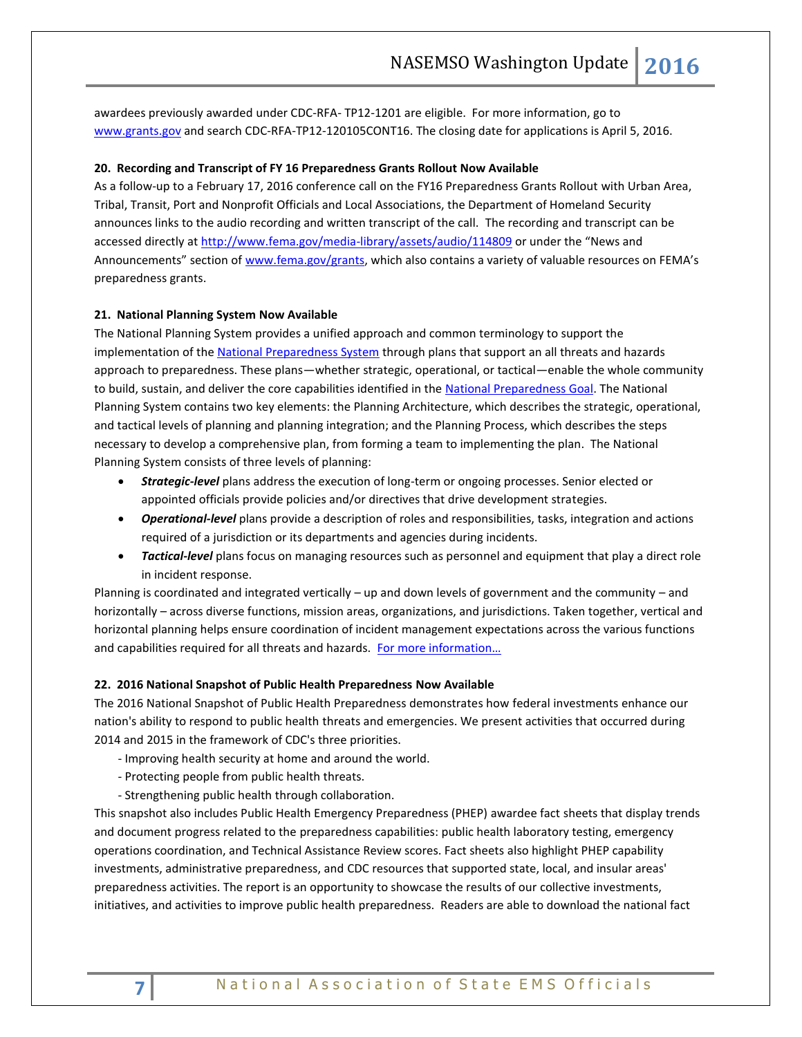awardees previously awarded under CDC-RFA- TP12-1201 are eligible. For more information, go to [www.grants.gov](http://www.grants.gov/) and search CDC-RFA-TP12-120105CONT16. The closing date for applications is April 5, 2016.

#### **20. Recording and Transcript of FY 16 Preparedness Grants Rollout Now Available**

As a follow-up to a February 17, 2016 conference call on the FY16 Preparedness Grants Rollout with Urban Area, Tribal, Transit, Port and Nonprofit Officials and Local Associations, the Department of Homeland Security announces links to the audio recording and written transcript of the call. The recording and transcript can be accessed directly a[t http://www.fema.gov/media-library/assets/audio/114809](http://www.fema.gov/media-library/assets/audio/114809) or under the "News and Announcements" section of [www.fema.gov/grants,](http://www.fema.gov/grants) which also contains a variety of valuable resources on FEMA's preparedness grants.

#### **21. National Planning System Now Available**

The National Planning System provides a unified approach and common terminology to support the implementation of the [National Preparedness System](https://www.fema.gov/national-preparedness-system) through plans that support an all threats and hazards approach to preparedness. These plans—whether strategic, operational, or tactical—enable the whole community to build, sustain, and deliver the core capabilities identified in the [National Preparedness Goal.](https://www.fema.gov/national-preparedness-goal) The National Planning System contains two key elements: the Planning Architecture, which describes the strategic, operational, and tactical levels of planning and planning integration; and the Planning Process, which describes the steps necessary to develop a comprehensive plan, from forming a team to implementing the plan. The National Planning System consists of three levels of planning:

- *Strategic-level* plans address the execution of long-term or ongoing processes. Senior elected or appointed officials provide policies and/or directives that drive development strategies.
- *Operational-level* plans provide a description of roles and responsibilities, tasks, integration and actions required of a jurisdiction or its departments and agencies during incidents.
- *Tactical-level* plans focus on managing resources such as personnel and equipment that play a direct role in incident response.

Planning is coordinated and integrated vertically – up and down levels of government and the community – and horizontally – across diverse functions, mission areas, organizations, and jurisdictions. Taken together, vertical and horizontal planning helps ensure coordination of incident management expectations across the various functions and capabilities required for all threats and hazards. For more information...

#### **22. 2016 National Snapshot of Public Health Preparedness Now Available**

The 2016 National Snapshot of Public Health Preparedness demonstrates how federal investments enhance our nation's ability to respond to public health threats and emergencies. We present activities that occurred during 2014 and 2015 in the framework of CDC's three priorities.

- Improving health security at home and around the world.
- Protecting people from public health threats.
- Strengthening public health through collaboration.

This snapshot also includes Public Health Emergency Preparedness (PHEP) awardee fact sheets that display trends and document progress related to the preparedness capabilities: public health laboratory testing, emergency operations coordination, and Technical Assistance Review scores. Fact sheets also highlight PHEP capability investments, administrative preparedness, and CDC resources that supported state, local, and insular areas' preparedness activities. The report is an opportunity to showcase the results of our collective investments, initiatives, and activities to improve public health preparedness. Readers are able to download the national fact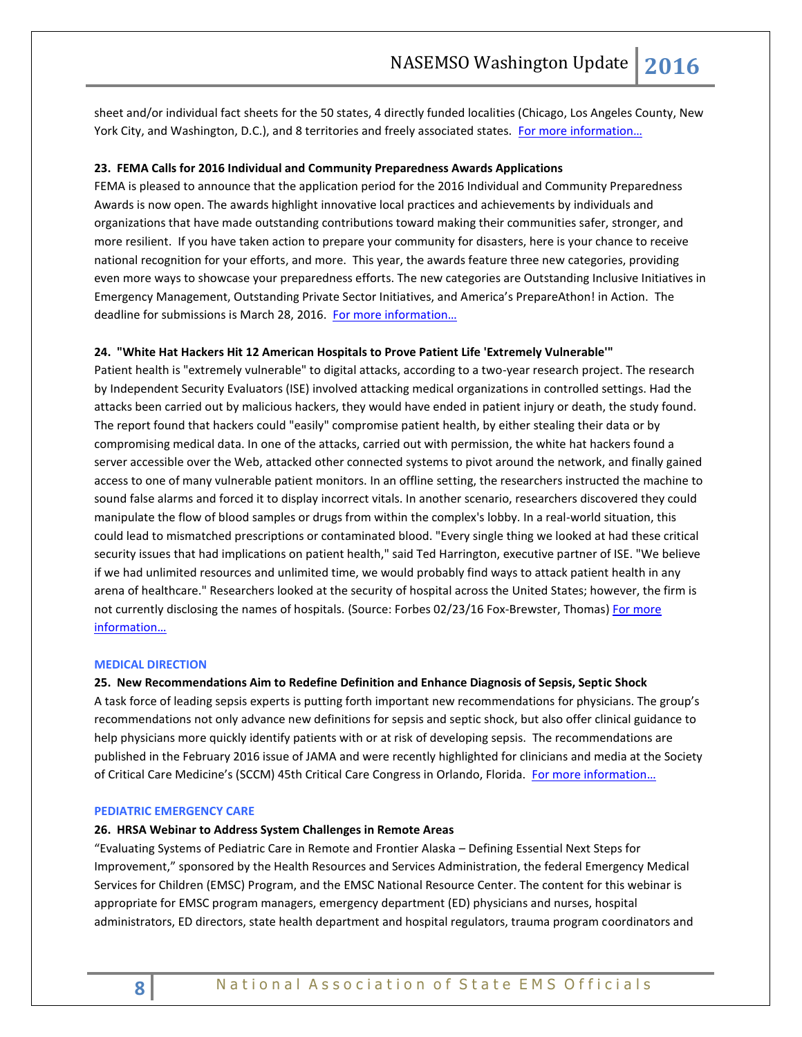sheet and/or individual fact sheets for the 50 states, 4 directly funded localities (Chicago, Los Angeles County, New York City, and Washington, D.C.), and 8 territories and freely associated states. [For more information…](http://www.cdc.gov/phpr/pubs-links/2016/download.html)

#### **23. FEMA Calls for 2016 Individual and Community Preparedness Awards Applications**

FEMA is pleased to announce that the application period for the 2016 Individual and Community Preparedness Awards is now open. The awards highlight innovative local practices and achievements by individuals and organizations that have made outstanding contributions toward making their communities safer, stronger, and more resilient. If you have taken action to prepare your community for disasters, here is your chance to receive national recognition for your efforts, and more. This year, the awards feature three new categories, providing even more ways to showcase your preparedness efforts. The new categories are Outstanding Inclusive Initiatives in Emergency Management, Outstanding Private Sector Initiatives, and America's PrepareAthon! in Action. The deadline for submissions is March 28, 2016. For more information...

#### **24. "White Hat Hackers Hit 12 American Hospitals to Prove Patient Life 'Extremely Vulnerable'"**

Patient health is "extremely vulnerable" to digital attacks, according to a two-year research project. The research by Independent Security Evaluators (ISE) involved attacking medical organizations in controlled settings. Had the attacks been carried out by malicious hackers, they would have ended in patient injury or death, the study found. The report found that hackers could "easily" compromise patient health, by either stealing their data or by compromising medical data. In one of the attacks, carried out with permission, the white hat hackers found a server accessible over the Web, attacked other connected systems to pivot around the network, and finally gained access to one of many vulnerable patient monitors. In an offline setting, the researchers instructed the machine to sound false alarms and forced it to display incorrect vitals. In another scenario, researchers discovered they could manipulate the flow of blood samples or drugs from within the complex's lobby. In a real-world situation, this could lead to mismatched prescriptions or contaminated blood. "Every single thing we looked at had these critical security issues that had implications on patient health," said Ted Harrington, executive partner of ISE. "We believe if we had unlimited resources and unlimited time, we would probably find ways to attack patient health in any arena of healthcare." Researchers looked at the security of hospital across the United States; however, the firm is not currently disclosing the names of hospitals. (Source: Forbes 02/23/16 Fox-Brewster, Thomas) For more [information…](https://www.securityevaluators.com/hospitalhack/)

#### <span id="page-7-0"></span>**MEDICAL DIRECTION**

**25. New Recommendations Aim to Redefine Definition and Enhance Diagnosis of Sepsis, Septic Shock** A task force of leading sepsis experts is putting forth important new recommendations for physicians. The group's recommendations not only advance new definitions for sepsis and septic shock, but also offer clinical guidance to help physicians more quickly identify patients with or at risk of developing sepsis. The recommendations are published in the February 2016 issue of JAMA and were recently highlighted for clinicians and media at the Society of Critical Care Medicine's (SCCM) 45th Critical Care Congress in Orlando, Florida. For more information...

#### <span id="page-7-1"></span>**PEDIATRIC EMERGENCY CARE**

#### **26. HRSA Webinar to Address System Challenges in Remote Areas**

"Evaluating Systems of Pediatric Care in Remote and Frontier Alaska – Defining Essential Next Steps for Improvement," sponsored by the Health Resources and Services Administration, the federal Emergency Medical Services for Children (EMSC) Program, and the EMSC National Resource Center. The content for this webinar is appropriate for EMSC program managers, emergency department (ED) physicians and nurses, hospital administrators, ED directors, state health department and hospital regulators, trauma program coordinators and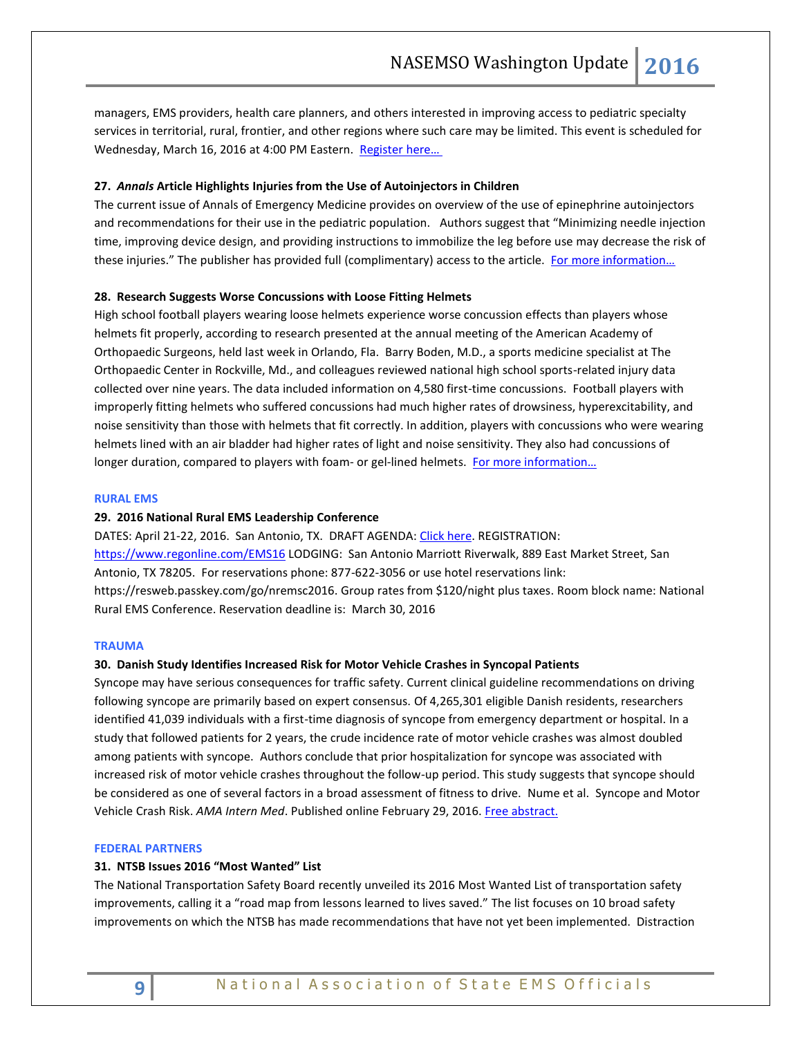managers, EMS providers, health care planners, and others interested in improving access to pediatric specialty services in territorial, rural, frontier, and other regions where such care may be limited. This event is scheduled for Wednesday, March 16, 2016 at 4:00 PM Eastern. Register here...

#### **27.** *Annals* **Article Highlights Injuries from the Use of Autoinjectors in Children**

The current issue of Annals of Emergency Medicine provides on overview of the use of epinephrine autoinjectors and recommendations for their use in the pediatric population. Authors suggest that "Minimizing needle injection time, improving device design, and providing instructions to immobilize the leg before use may decrease the risk of these injuries." The publisher has provided full (complimentary) access to the article. For more information...

#### **28. Research Suggests Worse Concussions with Loose Fitting Helmets**

High school football players wearing loose helmets experience worse concussion effects than players whose helmets fit properly, according to research presented at the annual meeting of the American Academy of Orthopaedic Surgeons, held last week in Orlando, Fla. Barry Boden, M.D., a sports medicine specialist at The Orthopaedic Center in Rockville, Md., and colleagues reviewed national high school sports-related injury data collected over nine years. The data included information on 4,580 first-time concussions. Football players with improperly fitting helmets who suffered concussions had much higher rates of drowsiness, hyperexcitability, and noise sensitivity than those with helmets that fit correctly. In addition, players with concussions who were wearing helmets lined with an air bladder had higher rates of light and noise sensitivity. They also had concussions of longer duration, compared to players with foam- or gel-lined helmets. [For more information…](http://www.abstractsonline.com/Plan/ViewAbstract.aspx?sKey=5d4a9d94-a7da-4799-9f60-290848c884b4&cKey=385157aa-094e-422b-a7cc-2f96b9e6e4ac&mKey=d5dc0d6c-c6d9-4cb4-acb2-5b30d308f410)

#### <span id="page-8-0"></span>**RURAL EMS**

#### **29. 2016 National Rural EMS Leadership Conference**

DATES: April 21-22, 2016. San Antonio, TX. DRAFT AGENDA[: Click here.](https://nosorh.org/wp-content/uploads/2014/12/Draft-Agenda-for-Website.docx) REGISTRATION: <https://www.regonline.com/EMS16> LODGING: San Antonio Marriott Riverwalk, 889 East Market Street, San Antonio, TX 78205. For reservations phone: 877-622-3056 or use hotel reservations link: [https://resweb.passkey.com/go/nremsc2016.](https://resweb.passkey.com/go/nremsc2016) Group rates from \$120/night plus taxes. Room block name: National Rural EMS Conference. Reservation deadline is: March 30, 2016

#### <span id="page-8-1"></span>**TRAUMA**

#### **30. Danish Study Identifies Increased Risk for Motor Vehicle Crashes in Syncopal Patients**

Syncope may have serious consequences for traffic safety. Current clinical guideline recommendations on driving following syncope are primarily based on expert consensus. Of 4,265,301 eligible Danish residents, researchers identified 41,039 individuals with a first-time diagnosis of syncope from emergency department or hospital. In a study that followed patients for 2 years, the crude incidence rate of motor vehicle crashes was almost doubled among patients with syncope. Authors conclude that prior hospitalization for syncope was associated with increased risk of motor vehicle crashes throughout the follow-up period. This study suggests that syncope should be considered as one of several factors in a broad assessment of fitness to drive. Nume et al. Syncope and Motor Vehicle Crash Risk. *AMA Intern Med*. Published online February 29, 2016. Free abstract.

#### <span id="page-8-2"></span>**FEDERAL PARTNERS**

#### **31. NTSB Issues 2016 "Most Wanted" List**

The National Transportation Safety Board recently unveiled its 2016 Most Wanted List of transportation safety improvements, calling it a "road map from lessons learned to lives saved." The list focuses on 10 broad safety improvements on which the NTSB has made recommendations that have not yet been implemented. Distraction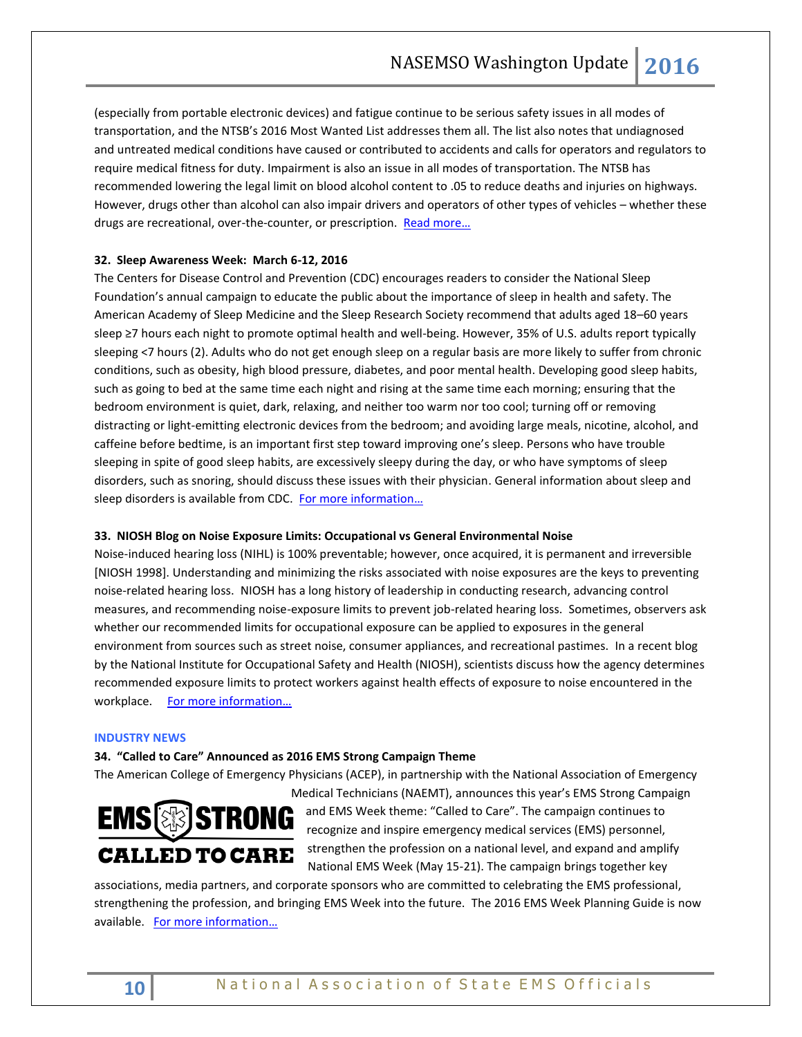(especially from portable electronic devices) and fatigue continue to be serious safety issues in all modes of transportation, and the NTSB's 2016 Most Wanted List addresses them all. The list also notes that undiagnosed and untreated medical conditions have caused or contributed to accidents and calls for operators and regulators to require medical fitness for duty. Impairment is also an issue in all modes of transportation. The NTSB has recommended lowering the legal limit on blood alcohol content to .05 to reduce deaths and injuries on highways. However, drugs other than alcohol can also impair drivers and operators of other types of vehicles – whether these drugs are recreational, over-the-counter, or prescription. Read more...

# **32. Sleep Awareness Week: March 6-12, 2016**

The Centers for Disease Control and Prevention (CDC) encourages readers to consider the National Sleep Foundation's annual campaign to educate the public about the importance of sleep in health and safety. The American Academy of Sleep Medicine and the Sleep Research Society recommend that adults aged 18–60 years sleep ≥7 hours each night to promote optimal health and well-being. However, 35% of U.S. adults report typically sleeping <7 hours (2). Adults who do not get enough sleep on a regular basis are more likely to suffer from chronic conditions, such as obesity, high blood pressure, diabetes, and poor mental health. Developing good sleep habits, such as going to bed at the same time each night and rising at the same time each morning; ensuring that the bedroom environment is quiet, dark, relaxing, and neither too warm nor too cool; turning off or removing distracting or light-emitting electronic devices from the bedroom; and avoiding large meals, nicotine, alcohol, and caffeine before bedtime, is an important first step toward improving one's sleep. Persons who have trouble sleeping in spite of good sleep habits, are excessively sleepy during the day, or who have symptoms of sleep disorders, such as snoring, should discuss these issues with their physician. General information about sleep and sleep disorders is available from CDC. For more information...

# **33. NIOSH Blog on Noise Exposure Limits: Occupational vs General Environmental Noise**

Noise-induced hearing loss (NIHL) is 100% preventable; however, once acquired, it is permanent and irreversible [NIOSH 1998]. Understanding and minimizing the risks associated with noise exposures are the keys to preventing noise-related hearing loss. NIOSH has a long history of leadership in conducting research, advancing control measures, and recommending noise-exposure limits to prevent job-related hearing loss. Sometimes, observers ask whether our recommended limits for occupational exposure can be applied to exposures in the general environment from sources such as street noise, consumer appliances, and recreational pastimes. In a recent blog by the National Institute for Occupational Safety and Health (NIOSH), scientists discuss how the agency determines recommended exposure limits to protect workers against health effects of exposure to noise encountered in the workplace. [For more information…](http://blogs.cdc.gov/niosh-science-blog/2016/02/08/noise/)

#### <span id="page-9-0"></span>**INDUSTRY NEWS**

## **34. "Called to Care" Announced as 2016 EMS Strong Campaign Theme**

The American College of Emergency Physicians (ACEP), in partnership with the National Association of Emergency



Medical Technicians (NAEMT), announces this year's EMS Strong Campaign and EMS Week theme: "Called to Care". The campaign continues to recognize and inspire emergency medical services (EMS) personnel, strengthen the profession on a national level, and expand and amplify National EMS Week (May 15-21). The campaign brings together key

associations, media partners, and corporate sponsors who are committed to celebrating the EMS professional, strengthening the profession, and bringing EMS Week into the future. The 2016 EMS Week Planning Guide is now available. For more information...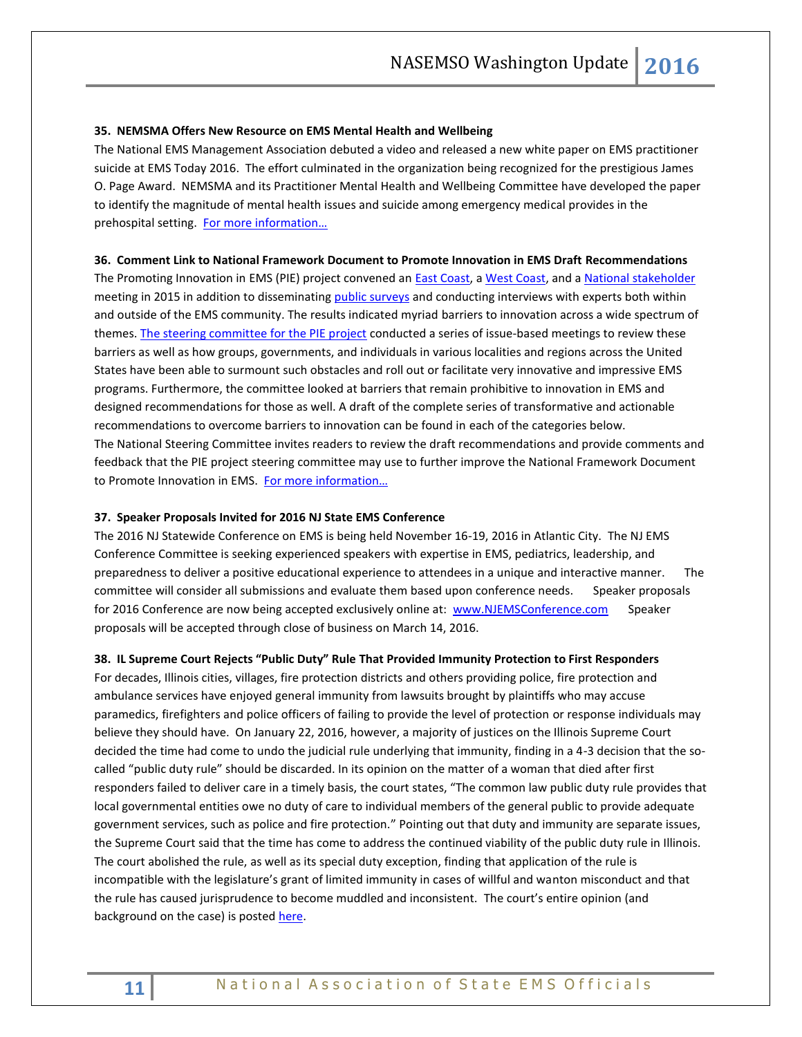#### **35. NEMSMA Offers New Resource on EMS Mental Health and Wellbeing**

The National EMS Management Association debuted a video and released a new white paper on EMS practitioner suicide at EMS Today 2016. The effort culminated in the organization being recognized for the prestigious James O. Page Award. NEMSMA and its Practitioner Mental Health and Wellbeing Committee have developed the paper to identify the magnitude of mental health issues and suicide among emergency medical provides in the prehospital setting. For more information...

#### **36. Comment Link to National Framework Document to Promote Innovation in EMS Draft Recommendations**

The Promoting Innovation in EMS (PIE) project convened an **East Coast**, [a West Coast,](http://dot.sinaiem.org/webcast-from-california-regional-stakeholder-meeting/) and a [National stakeholder](http://dot.sinaiem.org/sample-page/national-steering-committee-meeting/webcast-national-steering-committee-meeting-at-kaiser-family-foundation-september-21-2015/) meeting in 2015 in addition to disseminating [public surveys](http://dot.sinaiem.org/sample-page/take-the-survey-for-promoting-innovations-in-ems/) and conducting interviews with experts both within and outside of the EMS community. The results indicated myriad barriers to innovation across a wide spectrum of themes. [The steering committee for the PIE project](http://dot.sinaiem.org/about-the-promoting-innovations-in-ems-project/project-leadership/) conducted a series of issue-based meetings to review these barriers as well as how groups, governments, and individuals in various localities and regions across the United States have been able to surmount such obstacles and roll out or facilitate very innovative and impressive EMS programs. Furthermore, the committee looked at barriers that remain prohibitive to innovation in EMS and designed recommendations for those as well. A draft of the complete series of transformative and actionable recommendations to overcome barriers to innovation can be found in each of the categories below. The National Steering Committee invites readers to review the draft recommendations and provide comments and feedback that the PIE project steering committee may use to further improve the National Framework Document to Promote Innovation in EMS. [For more information…](http://dot.sinaiem.org/draft-of-the-national-framework-document-to-promote-innovation-in-ems/)

#### **37. Speaker Proposals Invited for 2016 NJ State EMS Conference**

The 2016 NJ Statewide Conference on EMS is being held November 16-19, 2016 in Atlantic City. The NJ EMS Conference Committee is seeking experienced speakers with expertise in EMS, pediatrics, leadership, and preparedness to deliver a positive educational experience to attendees in a unique and interactive manner. The committee will consider all submissions and evaluate them based upon conference needs. Speaker proposals for 2016 Conference are now being accepted exclusively online at: [www.NJEMSConference.com](http://www.njemsconference.com/) Speaker proposals will be accepted through close of business on March 14, 2016.

#### **38. IL Supreme Court Rejects "Public Duty" Rule That Provided Immunity Protection to First Responders**

For decades, Illinois cities, villages, fire protection districts and others providing police, fire protection and ambulance services have enjoyed general immunity from lawsuits brought by plaintiffs who may accuse paramedics, firefighters and police officers of failing to provide the level of protection or response individuals may believe they should have. On January 22, 2016, however, a majority of justices on the Illinois Supreme Court decided the time had come to undo the judicial rule underlying that immunity, finding in a 4-3 decision that the socalled "public duty rule" should be discarded. In its opinion on the matter of a woman that died after first responders failed to deliver care in a timely basis, the court states, "The common law public duty rule provides that local governmental entities owe no duty of care to individual members of the general public to provide adequate government services, such as police and fire protection." Pointing out that duty and immunity are separate issues, the Supreme Court said that the time has come to address the continued viability of the public duty rule in Illinois. The court abolished the rule, as well as its special duty exception, finding that application of the rule is incompatible with the legislature's grant of limited immunity in cases of willful and wanton misconduct and that the rule has caused jurisprudence to become muddled and inconsistent. The court's entire opinion (and background on the case) is posted [here.](http://www.illinoiscourts.gov/Opinions/SupremeCourt/2016/117952.pdf)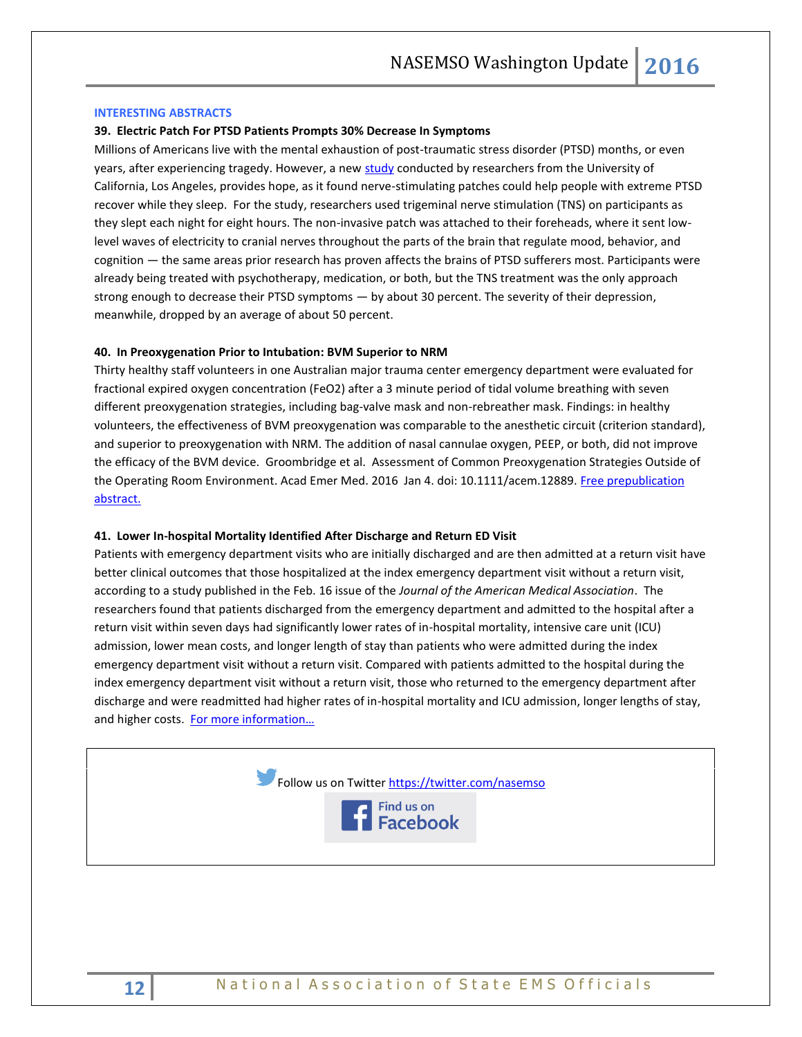#### <span id="page-11-0"></span>**INTERESTING ABSTRACTS**

#### **39. Electric Patch For PTSD Patients Prompts 30% Decrease In Symptoms**

Millions of Americans live with the mental exhaustion of post-traumatic stress disorder (PTSD) months, or even years, after experiencing tragedy. However, a ne[w study](http://onlinelibrary.wiley.com/journal/10.1111/%28ISSN%291525-1403) conducted by researchers from the University of California, Los Angeles, provides hope, as it found nerve-stimulating patches could help people with extreme PTSD recover while they sleep. For the study, researchers used trigeminal nerve stimulation (TNS) on participants as they slept each night for eight hours. The non-invasive patch was attached to their foreheads, where it sent lowlevel waves of electricity to cranial nerves throughout the parts of the brain that regulate mood, behavior, and cognition — the same areas prior research has proven affects the brains of PTSD sufferers most. Participants were already being treated with psychotherapy, medication, or both, but the TNS treatment was the only approach strong enough to decrease their PTSD symptoms — by about 30 percent. The severity of their depression, meanwhile, dropped by an average of about 50 percent.

#### **40. In Preoxygenation Prior to Intubation: BVM Superior to NRM**

Thirty healthy staff volunteers in one Australian major trauma center emergency department were evaluated for fractional expired oxygen concentration (FeO2) after a 3 minute period of tidal volume breathing with seven different preoxygenation strategies, including bag-valve mask and non-rebreather mask. Findings: in healthy volunteers, the effectiveness of BVM preoxygenation was comparable to the anesthetic circuit (criterion standard), and superior to preoxygenation with NRM. The addition of nasal cannulae oxygen, PEEP, or both, did not improve the efficacy of the BVM device. Groombridge et al. Assessment of Common Preoxygenation Strategies Outside of the Operating Room Environment. Acad Emer Med. 2016 Jan 4. doi: 10.1111/acem.12889. Free prepublication [abstract.](http://onlinelibrary.wiley.com/doi/10.1111/acem.12889/abstract) 

#### **41. Lower In-hospital Mortality Identified After Discharge and Return ED Visit**

Patients with emergency department visits who are initially discharged and are then admitted at a return visit have better clinical outcomes that those hospitalized at the index emergency department visit without a return visit, according to a study published in the Feb. 16 issue of the *Journal of the American Medical Association*. The researchers found that patients discharged from the emergency department and admitted to the hospital after a return visit within seven days had significantly lower rates of in-hospital mortality, intensive care unit (ICU) admission, lower mean costs, and longer length of stay than patients who were admitted during the index emergency department visit without a return visit. Compared with patients admitted to the hospital during the index emergency department visit without a return visit, those who returned to the emergency department after discharge and were readmitted had higher rates of in-hospital mortality and ICU admission, longer lengths of stay, and higher costs. For more information...



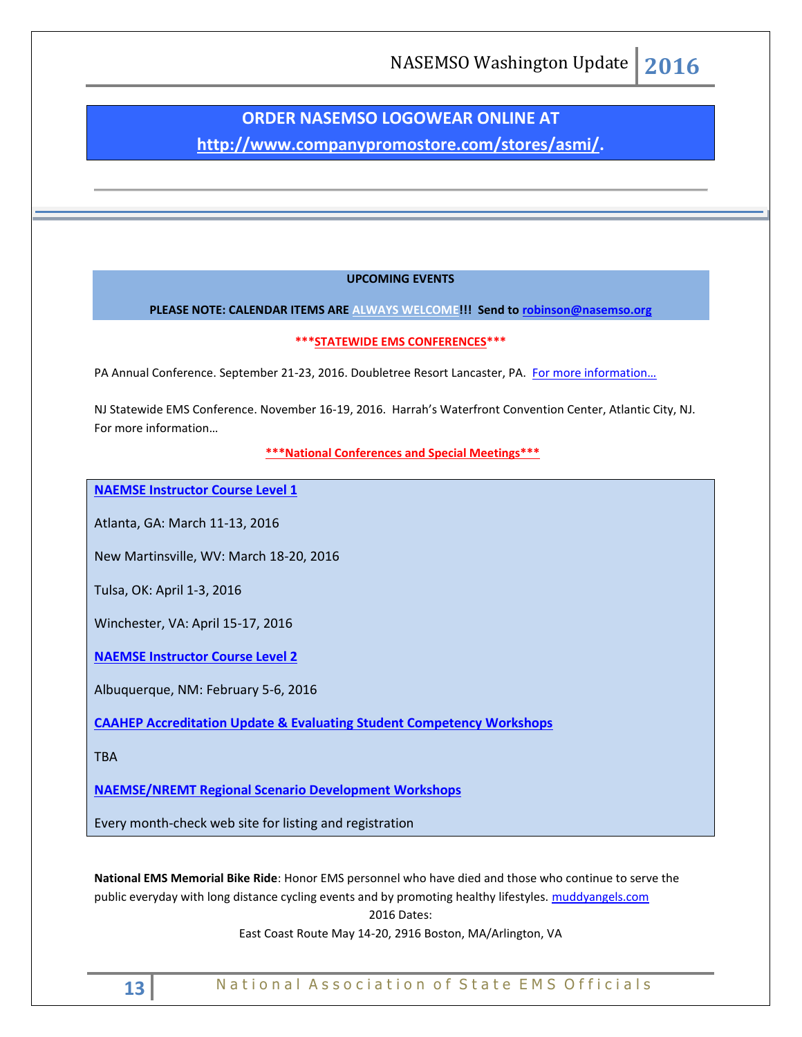# **ORDER NASEMSO LOGOWEAR ONLINE AT**

**[http://www.companypromostore.com/stores/asmi/.](http://www.companypromostore.com/stores/asmi/)**

# **UPCOMING EVENTS**

**PLEASE NOTE: CALENDAR ITEMS ARE ALWAYS WELCOME!!! Send t[o robinson@nasemso.org](mailto:robinson@nasemso.org)**

# **\*\*\*STATEWIDE EMS CONFERENCES\*\*\***

PA Annual Conference. September 21-23, 2016. Doubletree Resort Lancaster, PA. For more information...

NJ Statewide EMS Conference. November 16-19, 2016. Harrah's Waterfront Convention Center, Atlantic City, NJ. [For more information…](http://www.njemsconference.com/)

**\*\*\*National Conferences and Special Meetings\*\*\***

**[NAEMSE Instructor Course Level 1](http://naemse.org/?page=LVL1InstructorCourse)**

Atlanta, GA: March 11-13, 2016

New Martinsville, WV: March 18-20, 2016

Tulsa, OK: April 1-3, 2016

Winchester, VA: April 15-17, 2016

**[NAEMSE Instructor Course Level 2](http://naemse.org/?page=LVL2InstructorCourse)**

Albuquerque, NM: February 5-6, 2016

**[CAAHEP Accreditation Update & Evaluating Student Competency Workshops](http://naemse.org/?page=coaemsp)**

TBA

**[NAEMSE/NREMT Regional Scenario Development Workshops](http://naemse.org/?page=nremt)**

Every month-check web site for listing and registration

**National EMS Memorial Bike Ride**: Honor EMS personnel who have died and those who continue to serve the public everyday with long distance cycling events and by promoting healthy lifestyles. [muddyangels.com](http://www.muddyangels.com/) 2016 Dates:

East Coast Route May 14-20, 2916 Boston, MA/Arlington, VA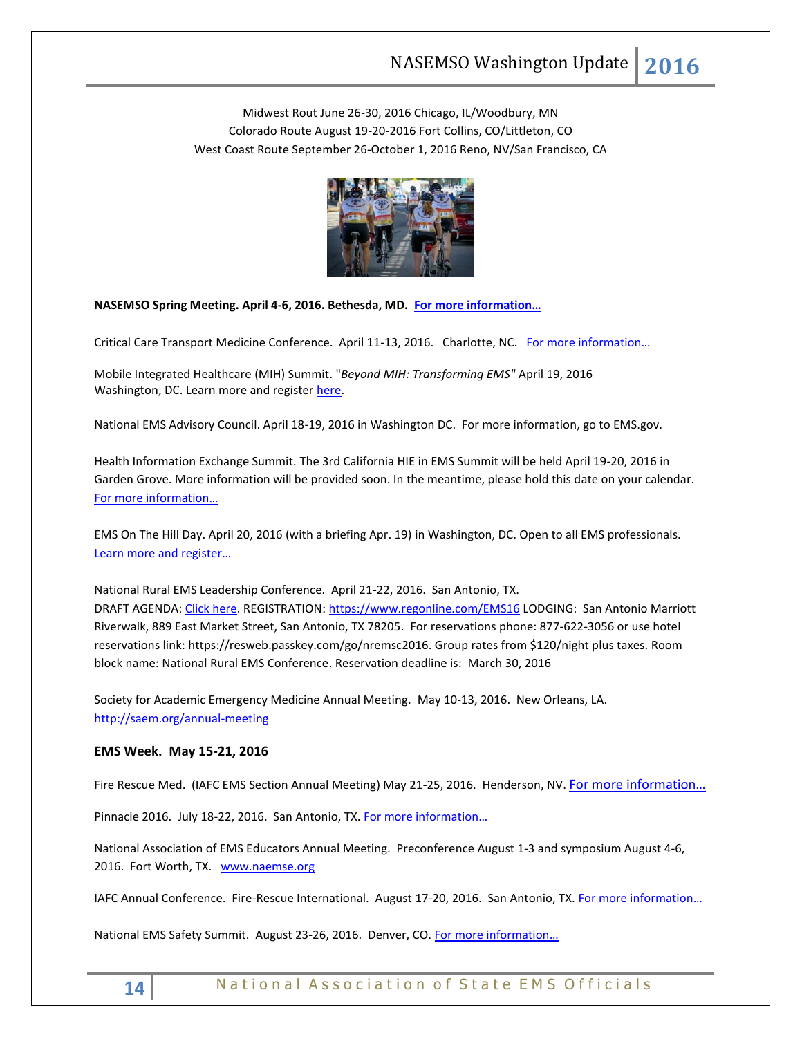Midwest Rout June 26-30, 2016 Chicago, IL/Woodbury, MN Colorado Route August 19-20-2016 Fort Collins, CO/Littleton, CO West Coast Route September 26-October 1, 2016 Reno, NV/San Francisco, CA



**NASEMSO Spring Meeting. April 4-6, 2016. Bethesda, MD. [For more information…](http://www.nasemso.org/Meetings/MidYear/index.asp)**

Critical Care Transport Medicine Conference. April 11-13, 2016. Charlotte, NC. For more information...

Mobile Integrated Healthcare (MIH) Summit. "*Beyond MIH: Transforming EMS"* April 19, 2016 Washington, DC. Learn more and register [here.](https://www.naemt.org/advocacy/emsonthehillday/EMSontheHillDay/ems-on-the-hill-day-registration)

National EMS Advisory Council. April 18-19, 2016 in Washington DC. For more information, go to EMS.gov.

Health Information Exchange Summit. The 3rd California HIE in EMS Summit will be held April 19-20, 2016 in Garden Grove. More information will be provided soon. In the meantime, please hold this date on your calendar. [For more information…](http://hieinemsinca.com/2015/11/07/3rd-california-hie-in-ems-summit-scheduled/)

EMS On The Hill Day. April 20, 2016 (with a briefing Apr. 19) in Washington, DC. Open to all EMS professionals. [Learn more and register…](http://www.naemt.org/advocacy/emsonthehillday.aspx)

National Rural EMS Leadership Conference. April 21-22, 2016. San Antonio, TX. DRAFT AGENDA[: Click here.](https://nosorh.org/wp-content/uploads/2014/12/Draft-Agenda-for-Website.docx) REGISTRATION:<https://www.regonline.com/EMS16> LODGING: San Antonio Marriott Riverwalk, 889 East Market Street, San Antonio, TX 78205. For reservations phone: 877-622-3056 or use hotel reservations link: [https://resweb.passkey.com/go/nremsc2016.](https://resweb.passkey.com/go/nremsc2016) Group rates from \$120/night plus taxes. Room block name: National Rural EMS Conference. Reservation deadline is: March 30, 2016

Society for Academic Emergency Medicine Annual Meeting. May 10-13, 2016. New Orleans, LA. <http://saem.org/annual-meeting>

#### **EMS Week. May 15-21, 2016**

Fire Rescue Med. (IAFC EMS Section Annual Meeting) May 21-25, 2016. Henderson, NV. [For more information…](http://www.iafc.org/micrositeFRMconf/FRMhome.cfm?ItemNumber=8046)

Pinnacle 2016. July 18-22, 2016. San Antonio, TX. [For more information…](http://pinnacle-ems.com/)

National Association of EMS Educators Annual Meeting. Preconference August 1-3 and symposium August 4-6, 2016. Fort Worth, TX. [www.naemse.org](http://www.naemse.org/)

IAFC Annual Conference. Fire-Rescue International. August 17-20, 2016. San Antonio, TX. For more information...

National EMS Safety Summit. August 23-26, 2016. Denver, CO. For more information...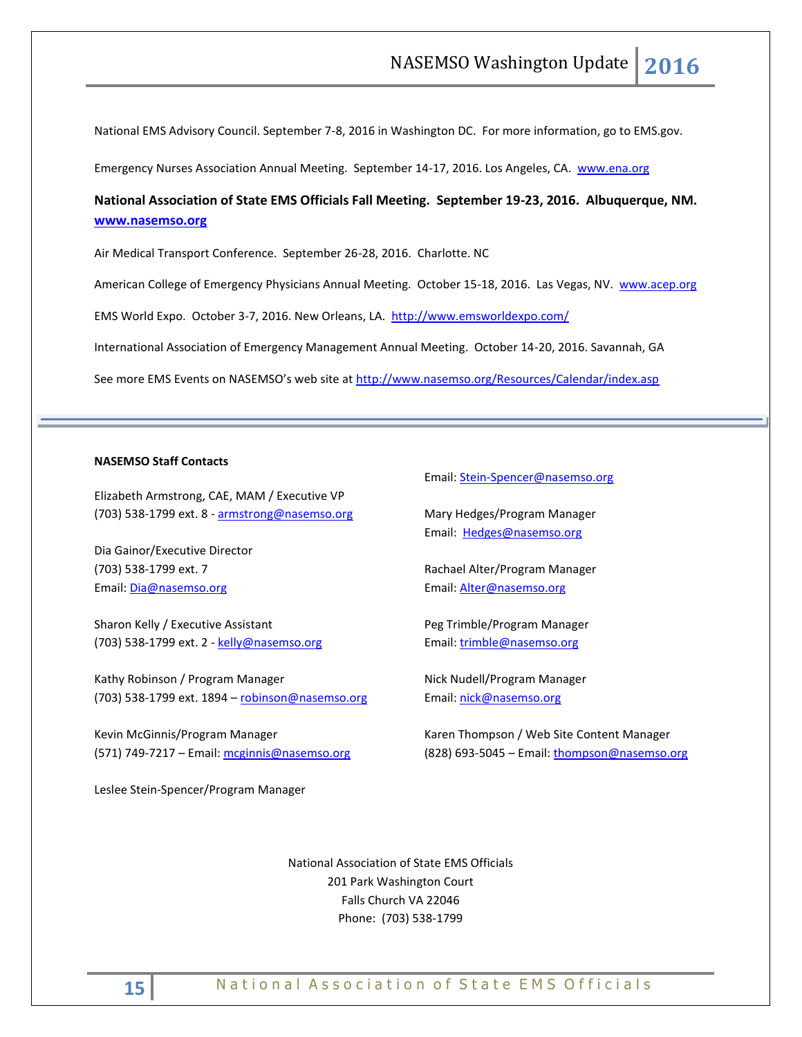National EMS Advisory Council. September 7-8, 2016 in Washington DC. For more information, go to EMS.gov.

Emergency Nurses Association Annual Meeting. September 14-17, 2016. Los Angeles, CA. [www.ena.org](http://www.ena.org/) 

# **National Association of State EMS Officials Fall Meeting. September 19-23, 2016. Albuquerque, NM. [www.nasemso.org](http://www.nasemso.org/)**

Air Medical Transport Conference. September 26-28, 2016. Charlotte. NC

American College of Emergency Physicians Annual Meeting. October 15-18, 2016. Las Vegas, NV. [www.acep.org](http://www.acep.org/)

EMS World Expo. October 3-7, 2016. New Orleans, LA. <http://www.emsworldexpo.com/>

International Association of Emergency Management Annual Meeting. October 14-20, 2016. Savannah, GA

See more EMS Events on NASEMSO's web site at <http://www.nasemso.org/Resources/Calendar/index.asp>

#### **NASEMSO Staff Contacts**

Elizabeth Armstrong, CAE, MAM / Executive VP (703) 538-1799 ext. 8 - [armstrong@nasemso.org](mailto:armstrong@nasemso.org)

Dia Gainor/Executive Director (703) 538-1799 ext. 7 Email: [Dia@nasemso.org](mailto:Dia@nasemso.org)

Sharon Kelly / Executive Assistant (703) 538-1799 ext. 2 - [kelly@nasemso.org](mailto:kelly@nasemso.org)

Kathy Robinson / Program Manager (703) 538-1799 ext. 1894 - [robinson@nasemso.org](mailto:robinson@nasemso.org)

Kevin McGinnis/Program Manager (571) 749-7217 - Email: [mcginnis@nasemso.org](mailto:mcginnis@nasemso.org)

Leslee Stein-Spencer/Program Manager

Email: [Stein-Spencer@nasemso.org](mailto:Stein-Spencer@nasemso.org)

Mary Hedges/Program Manager Email: [Hedges@nasemso.org](mailto:Hedges@nasemso.org)

Rachael Alter/Program Manager Email: **Alter@nasemso.org** 

Peg Trimble/Program Manager Email: [trimble@nasemso.org](mailto:trimble@nasemso.org)

Nick Nudell/Program Manager Email: [nick@nasemso.org](mailto:nick@nasemso.org)

Karen Thompson / Web Site Content Manager (828) 693-5045 – Email: [thompson@nasemso.org](mailto:thompson@nasemso.org)

National Association of State EMS Officials 201 Park Washington Court Falls Church VA 22046 Phone: (703) 538-1799